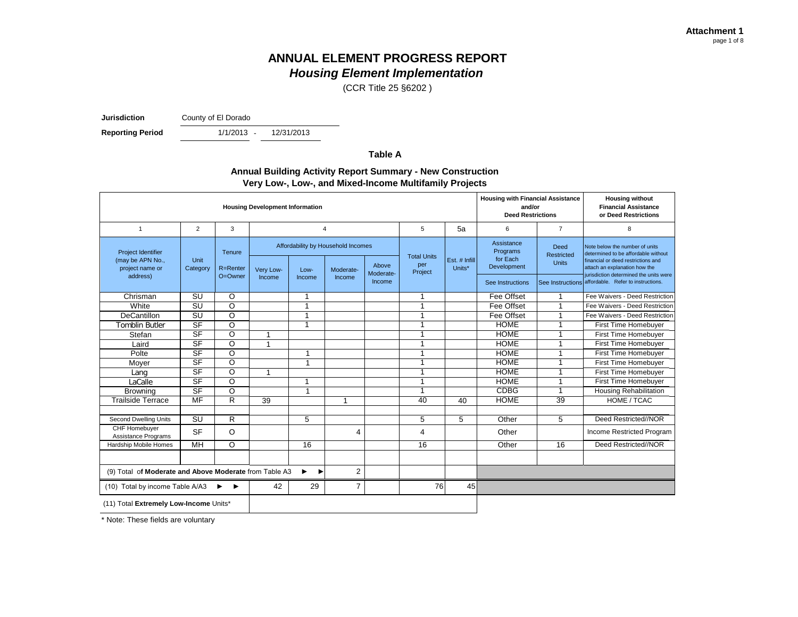(CCR Title 25 §6202 )

**Jurisdiction** County of El Dorado

**Reporting Period** 

 $1/1/2013 -$ 12/31/2013

**Table A**

#### **Annual Building Activity Report Summary - New Construction Very Low-, Low-, and Mixed-Income Multifamily Projects**

| <b>Housing Development Information</b>                                       |                          |                               |                     |                      |                                                           |                              |                                      |                         |                                                                       | <b>Housing with Financial Assistance</b><br>and/or<br><b>Deed Restrictions</b> | <b>Housing without</b><br><b>Financial Assistance</b><br>or Deed Restrictions                                                                                                                                                                 |
|------------------------------------------------------------------------------|--------------------------|-------------------------------|---------------------|----------------------|-----------------------------------------------------------|------------------------------|--------------------------------------|-------------------------|-----------------------------------------------------------------------|--------------------------------------------------------------------------------|-----------------------------------------------------------------------------------------------------------------------------------------------------------------------------------------------------------------------------------------------|
| $\mathbf{1}$                                                                 | 2                        | 3                             |                     | $\overline{4}$       |                                                           |                              | 5                                    | 5a                      | 6                                                                     | $\overline{7}$                                                                 | 8                                                                                                                                                                                                                                             |
| <b>Project Identifier</b><br>(may be APN No.,<br>project name or<br>address) | Unit<br>Category         | Tenure<br>R=Renter<br>O=Owner | Very Low-<br>Income | Low-<br>Income       | Affordability by Household Incomes<br>Moderate-<br>Income | Above<br>Moderate-<br>Income | <b>Total Units</b><br>per<br>Project | Est. # Infill<br>Units* | Assistance<br>Programs<br>for Each<br>Development<br>See Instructions | Deed<br>Restricted<br><b>Units</b>                                             | Note below the number of units<br>determined to be affordable without<br>financial or deed restrictions and<br>attach an explanation how the<br>jurisdiction determined the units were<br>See Instructions affordable. Refer to instructions. |
| Chrisman                                                                     | $\overline{\mathsf{s}}$  | O                             |                     | 1                    |                                                           |                              | 1                                    |                         | Fee Offset                                                            |                                                                                | Fee Waivers - Deed Restriction                                                                                                                                                                                                                |
| White                                                                        | <b>SU</b>                | $\overline{\circ}$            |                     | 1                    |                                                           |                              |                                      |                         | Fee Offset                                                            |                                                                                | Fee Waivers - Deed Restriction                                                                                                                                                                                                                |
| <b>DeCantillon</b>                                                           | <b>SU</b>                | $\overline{\circ}$            |                     | 1                    |                                                           |                              |                                      |                         | Fee Offset                                                            |                                                                                | Fee Waivers - Deed Restriction                                                                                                                                                                                                                |
| <b>Tomblin Butler</b>                                                        | SF                       | $\overline{\circ}$            |                     | 1                    |                                                           |                              | ٠                                    |                         | <b>HOME</b>                                                           |                                                                                | First Time Homebuyer                                                                                                                                                                                                                          |
| Stefan                                                                       | SF                       | $\overline{\rm o}$            | 1                   |                      |                                                           |                              | 1                                    |                         | <b>HOME</b>                                                           |                                                                                | First Time Homebuyer                                                                                                                                                                                                                          |
| Laird                                                                        | SF                       | $\overline{O}$                | 1                   |                      |                                                           |                              | 1                                    |                         | <b>HOME</b>                                                           | ٠                                                                              | First Time Homebuver                                                                                                                                                                                                                          |
| Polte                                                                        | SF                       | O                             |                     | 1                    |                                                           |                              | 1                                    |                         | <b>HOME</b>                                                           |                                                                                | First Time Homebuyer                                                                                                                                                                                                                          |
| Moyer                                                                        | $S$ F                    | O                             |                     | $\blacktriangleleft$ |                                                           |                              | 1                                    |                         | <b>HOME</b>                                                           | 1                                                                              | First Time Homebuyer                                                                                                                                                                                                                          |
| Lang                                                                         | SF                       | $\overline{O}$                | 1                   |                      |                                                           |                              | 1                                    |                         | <b>HOME</b>                                                           | 1                                                                              | First Time Homebuyer                                                                                                                                                                                                                          |
| LaCalle                                                                      | SF                       | $\overline{O}$                |                     | 1                    |                                                           |                              | 1                                    |                         | <b>HOME</b>                                                           | $\overline{1}$                                                                 | First Time Homebuyer                                                                                                                                                                                                                          |
| <b>Browning</b>                                                              | $\overline{\mathsf{SF}}$ | $\overline{\circ}$            |                     | 1                    |                                                           |                              | 1                                    |                         | <b>CDBG</b>                                                           |                                                                                | <b>Housing Rehabilitation</b>                                                                                                                                                                                                                 |
| Trailside Terrace                                                            | <b>MF</b>                | R                             | 39                  |                      | 1                                                         |                              | 40                                   | 40                      | <b>HOME</b>                                                           | 39                                                                             | HOME / TCAC                                                                                                                                                                                                                                   |
|                                                                              |                          |                               |                     |                      |                                                           |                              |                                      |                         |                                                                       |                                                                                |                                                                                                                                                                                                                                               |
| Second Dwelling Units                                                        | SU                       | R                             |                     | 5                    |                                                           |                              | 5                                    | 5                       | Other                                                                 | 5                                                                              | Deed Restricted//NOR                                                                                                                                                                                                                          |
| CHF Homebuyer<br>Assistance Programs                                         | <b>SF</b>                | O                             |                     |                      | 4                                                         |                              | 4                                    |                         | Other                                                                 |                                                                                | Income Restricted Program                                                                                                                                                                                                                     |
| Hardship Mobile Homes                                                        | MH                       | $\overline{\circ}$            |                     | 16                   |                                                           |                              | 16                                   |                         | Other                                                                 | 16                                                                             | Deed Restricted//NOR                                                                                                                                                                                                                          |
|                                                                              |                          |                               |                     |                      |                                                           |                              |                                      |                         |                                                                       |                                                                                |                                                                                                                                                                                                                                               |
| (9) Total of Moderate and Above Moderate from Table A3                       |                          |                               |                     | ▶<br>▸               | 2                                                         |                              |                                      |                         |                                                                       |                                                                                |                                                                                                                                                                                                                                               |
| (10) Total by income Table A/A3<br>▸                                         |                          |                               | 42                  | 29                   | $\overline{7}$                                            |                              | 76                                   | 45                      |                                                                       |                                                                                |                                                                                                                                                                                                                                               |
| (11) Total Extremely Low-Income Units*                                       |                          |                               |                     |                      |                                                           |                              |                                      |                         |                                                                       |                                                                                |                                                                                                                                                                                                                                               |

\* Note: These fields are voluntary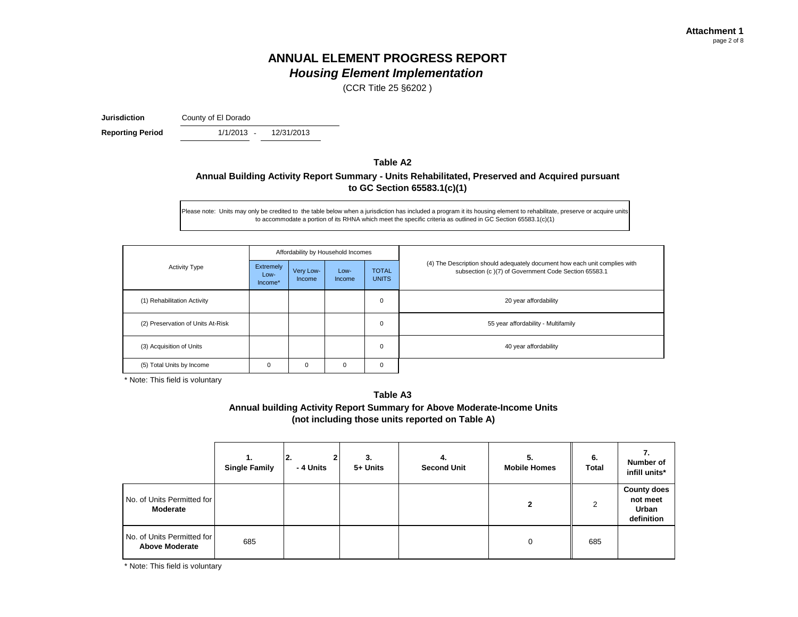(CCR Title 25 §6202 )

**Jurisdiction** County of El Dorado

 $1/1/2013 -$ **Reporting Period** 1/1/2013 - 12/31/2013

### **Table A2 Annual Building Activity Report Summary - Units Rehabilitated, Preserved and Acquired pursuant to GC Section 65583.1(c)(1)**

Please note: Units may only be credited to the table below when a jurisdiction has included a program it its housing element to rehabilitate, preserve or acquire units to accommodate a portion of its RHNA which meet the specific criteria as outlined in GC Section 65583.1(c)(1)

|                                   |                              |                     | Affordability by Household Incomes |                              |                                                                                                                                    |  |  |
|-----------------------------------|------------------------------|---------------------|------------------------------------|------------------------------|------------------------------------------------------------------------------------------------------------------------------------|--|--|
| <b>Activity Type</b>              | Extremely<br>Low-<br>Income* | Very Low-<br>Income | Low-<br><b>Income</b>              | <b>TOTAL</b><br><b>UNITS</b> | (4) The Description should adequately document how each unit complies with<br>subsection (c)(7) of Government Code Section 65583.1 |  |  |
| (1) Rehabilitation Activity       |                              |                     |                                    | 0                            | 20 year affordability                                                                                                              |  |  |
| (2) Preservation of Units At-Risk |                              |                     |                                    | 0                            | 55 year affordability - Multifamily                                                                                                |  |  |
| (3) Acquisition of Units          |                              |                     |                                    | $\Omega$                     | 40 year affordability                                                                                                              |  |  |
| (5) Total Units by Income         | $\Omega$                     | 0                   | O                                  | 0                            |                                                                                                                                    |  |  |

\* Note: This field is voluntary

**Table A3 Annual building Activity Report Summary for Above Moderate-Income Units (not including those units reported on Table A)**

|                                                     | 1.<br><b>Single Family</b> | 2.<br>- 4 Units | 3.<br>5+ Units | 4.<br><b>Second Unit</b> | 5.<br><b>Mobile Homes</b> | 6.<br><b>Total</b> | Number of<br>infill units*                            |
|-----------------------------------------------------|----------------------------|-----------------|----------------|--------------------------|---------------------------|--------------------|-------------------------------------------------------|
| No. of Units Permitted for<br>Moderate              |                            |                 |                |                          | $\mathbf{2}$              | 2                  | <b>County does</b><br>not meet<br>Urban<br>definition |
| No. of Units Permitted for<br><b>Above Moderate</b> | 685                        |                 |                |                          | $\Omega$                  | 685                |                                                       |

\* Note: This field is voluntary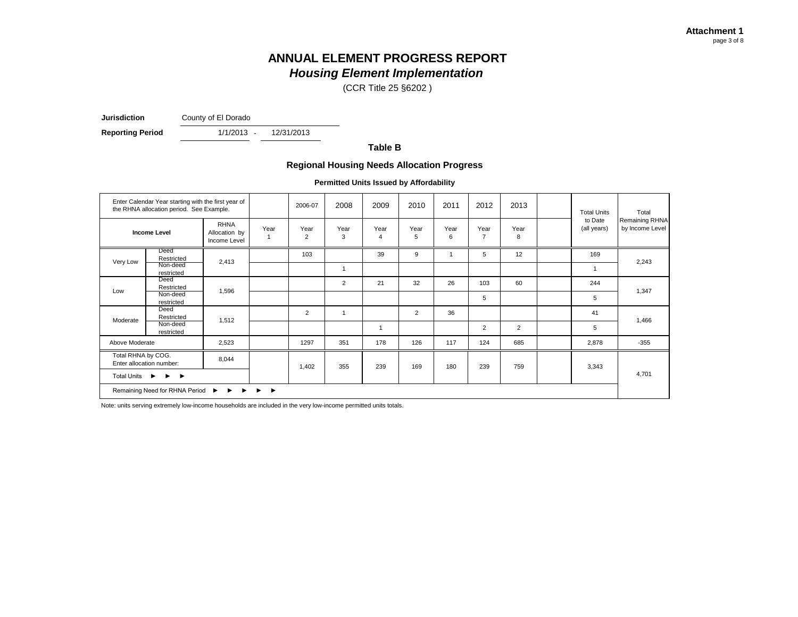(CCR Title 25 §6202 )

**Jurisdiction** County of El Dorado

 $1/1/2013 -$ **Reporting Period** 1/1/2013 - 12/31/2013

**Table B**

#### **Regional Housing Needs Allocation Progress**

**Permitted Units Issued by Affordability**

| Enter Calendar Year starting with the first year of<br>the RHNA allocation period. See Example.                                                                                                                                                                                  |                        |                                              | 2006-07 | 2008                   | 2009           | 2010           | 2011      | 2012      | 2013                   | <b>Total Units</b> | Total                  |                                   |
|----------------------------------------------------------------------------------------------------------------------------------------------------------------------------------------------------------------------------------------------------------------------------------|------------------------|----------------------------------------------|---------|------------------------|----------------|----------------|-----------|-----------|------------------------|--------------------|------------------------|-----------------------------------|
| <b>Income Level</b>                                                                                                                                                                                                                                                              |                        | <b>RHNA</b><br>Allocation by<br>Income Level | Year    | Year<br>$\overline{2}$ | Year<br>3      | Year<br>4      | Year<br>5 | Year<br>6 | Year<br>$\overline{7}$ | Year<br>8          | to Date<br>(all years) | Remaining RHNA<br>by Income Level |
|                                                                                                                                                                                                                                                                                  | Deed<br>Restricted     | 2,413                                        |         | 103                    |                | 39             | 9         |           | 5                      | 12                 | 169                    |                                   |
| Very Low                                                                                                                                                                                                                                                                         | Non-deed<br>restricted |                                              |         |                        |                |                |           |           |                        |                    | $\overline{1}$         | 2,243                             |
|                                                                                                                                                                                                                                                                                  | Deed<br>Restricted     | 1,596                                        |         |                        | $\overline{2}$ | 21             | 32        | 26        | 103                    | 60                 | 244                    | 1,347                             |
| Low                                                                                                                                                                                                                                                                              | Non-deed<br>restricted |                                              |         |                        |                |                |           |           | 5                      |                    | 5                      |                                   |
|                                                                                                                                                                                                                                                                                  | Deed<br>Restricted     |                                              |         | 2                      |                |                | 2         | 36        |                        |                    | 41                     |                                   |
| Moderate                                                                                                                                                                                                                                                                         | Non-deed<br>restricted | 1,512                                        |         |                        |                | $\overline{1}$ |           |           | $\overline{2}$         | $\overline{2}$     | 5                      | 1,466                             |
| Above Moderate                                                                                                                                                                                                                                                                   |                        | 2,523                                        |         | 1297                   | 351            | 178            | 126       | 117       | 124                    | 685                | 2,878                  | $-355$                            |
| Total RHNA by COG.<br>8,044<br>Enter allocation number:<br><b>Total Units</b><br>$\blacktriangleright\hspace{0.25cm}\blacktriangleright\hspace{0.25cm}\blacktriangleright\hspace{0.25cm}\blacktriangleright\hspace{0.25cm}\blacktriangleright\hspace{0.25cm}\blacktriangleright$ |                        |                                              |         | 1,402                  | 355            | 239            | 169       | 180       | 239                    | 759                | 3,343                  |                                   |
|                                                                                                                                                                                                                                                                                  |                        |                                              |         |                        |                |                |           |           |                        |                    |                        | 4,701                             |
| Remaining Need for RHNA Period<br>$\blacktriangleright$<br>$\rightarrow$<br>$\ddot{\phantom{1}}$<br>▶<br>►                                                                                                                                                                       |                        |                                              |         |                        |                |                |           |           |                        |                    |                        |                                   |

Note: units serving extremely low-income households are included in the very low-income permitted units totals.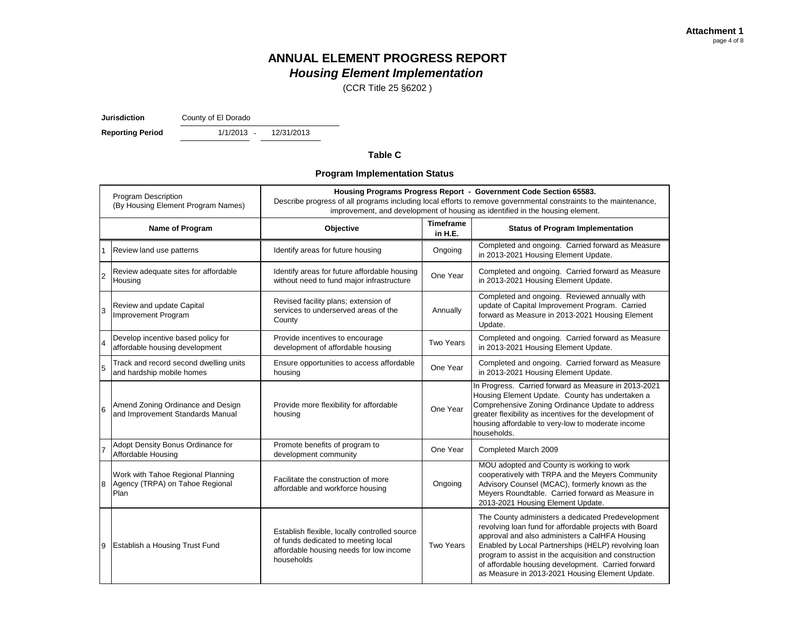(CCR Title 25 §6202 )

**Jurisdiction** County of El Dorado

 $1/1/2013 -$ **Reporting Period** 1/1/2013 - 12/31/2013

#### **Table C**

#### **Program Implementation Status**

| <b>Program Description</b><br>(By Housing Element Program Names) |                                                                              | Housing Programs Progress Report - Government Code Section 65583.<br>Describe progress of all programs including local efforts to remove governmental constraints to the maintenance,<br>improvement, and development of housing as identified in the housing element. |                             |                                                                                                                                                                                                                                                                                                                                                                                        |  |  |  |  |
|------------------------------------------------------------------|------------------------------------------------------------------------------|------------------------------------------------------------------------------------------------------------------------------------------------------------------------------------------------------------------------------------------------------------------------|-----------------------------|----------------------------------------------------------------------------------------------------------------------------------------------------------------------------------------------------------------------------------------------------------------------------------------------------------------------------------------------------------------------------------------|--|--|--|--|
|                                                                  | Name of Program                                                              | Objective                                                                                                                                                                                                                                                              | <b>Timeframe</b><br>in H.E. | <b>Status of Program Implementation</b>                                                                                                                                                                                                                                                                                                                                                |  |  |  |  |
|                                                                  | Review land use patterns                                                     | Identify areas for future housing                                                                                                                                                                                                                                      | Ongoing                     | Completed and ongoing. Carried forward as Measure<br>in 2013-2021 Housing Element Update.                                                                                                                                                                                                                                                                                              |  |  |  |  |
| $\overline{2}$                                                   | Review adequate sites for affordable<br>Housing                              | Identify areas for future affordable housing<br>without need to fund major infrastructure                                                                                                                                                                              | One Year                    | Completed and ongoing. Carried forward as Measure<br>in 2013-2021 Housing Element Update.                                                                                                                                                                                                                                                                                              |  |  |  |  |
| 3                                                                | Review and update Capital<br>Improvement Program                             | Revised facility plans; extension of<br>services to underserved areas of the<br>County                                                                                                                                                                                 | Annually                    | Completed and ongoing. Reviewed annually with<br>update of Capital Improvement Program. Carried<br>forward as Measure in 2013-2021 Housing Element<br>Update.                                                                                                                                                                                                                          |  |  |  |  |
| $\overline{4}$                                                   | Develop incentive based policy for<br>affordable housing development         | Provide incentives to encourage<br>development of affordable housing                                                                                                                                                                                                   | <b>Two Years</b>            | Completed and ongoing. Carried forward as Measure<br>in 2013-2021 Housing Element Update.                                                                                                                                                                                                                                                                                              |  |  |  |  |
| 5                                                                | Track and record second dwelling units<br>and hardship mobile homes          | Ensure opportunities to access affordable<br>housing                                                                                                                                                                                                                   | One Year                    | Completed and ongoing. Carried forward as Measure<br>in 2013-2021 Housing Element Update.                                                                                                                                                                                                                                                                                              |  |  |  |  |
| 6                                                                | Amend Zoning Ordinance and Design<br>and Improvement Standards Manual        | Provide more flexibility for affordable<br>housing                                                                                                                                                                                                                     | One Year                    | In Progress. Carried forward as Measure in 2013-2021<br>Housing Element Update. County has undertaken a<br>Comprehensive Zoning Ordinance Update to address<br>greater flexibility as incentives for the development of<br>housing affordable to very-low to moderate income<br>households.                                                                                            |  |  |  |  |
|                                                                  | Adopt Density Bonus Ordinance for<br>Affordable Housing                      | Promote benefits of program to<br>development community                                                                                                                                                                                                                | One Year                    | Completed March 2009                                                                                                                                                                                                                                                                                                                                                                   |  |  |  |  |
| 8                                                                | Work with Tahoe Regional Planning<br>Agency (TRPA) on Tahoe Regional<br>Plan | Facilitate the construction of more<br>affordable and workforce housing                                                                                                                                                                                                | Ongoing                     | MOU adopted and County is working to work<br>cooperatively with TRPA and the Meyers Community<br>Advisory Counsel (MCAC), formerly known as the<br>Meyers Roundtable. Carried forward as Measure in<br>2013-2021 Housing Element Update.                                                                                                                                               |  |  |  |  |
| 9                                                                | Establish a Housing Trust Fund                                               | Establish flexible, locally controlled source<br>of funds dedicated to meeting local<br>affordable housing needs for low income<br>households                                                                                                                          | Two Years                   | The County administers a dedicated Predevelopment<br>revolving loan fund for affordable projects with Board<br>approval and also administers a CalHFA Housing<br>Enabled by Local Partnerships (HELP) revolving loan<br>program to assist in the acquisition and construction<br>of affordable housing development. Carried forward<br>as Measure in 2013-2021 Housing Element Update. |  |  |  |  |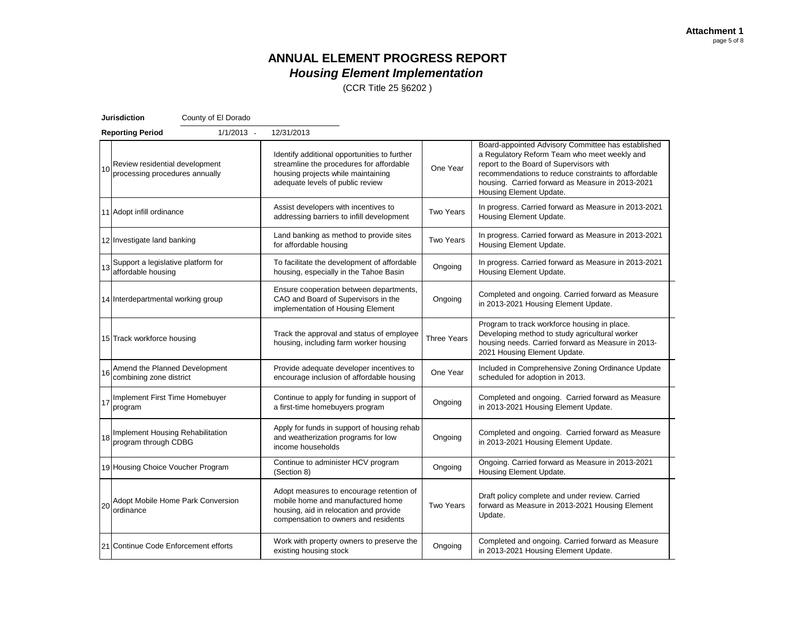(CCR Title 25 §6202 )

| <b>Jurisdiction</b> |                                                                     | County of El Dorado |                                                                                                                                                                    |                    |                                                                                                                                                                                                                                                                                     |
|---------------------|---------------------------------------------------------------------|---------------------|--------------------------------------------------------------------------------------------------------------------------------------------------------------------|--------------------|-------------------------------------------------------------------------------------------------------------------------------------------------------------------------------------------------------------------------------------------------------------------------------------|
|                     | <b>Reporting Period</b>                                             | $1/1/2013 -$        | 12/31/2013                                                                                                                                                         |                    |                                                                                                                                                                                                                                                                                     |
|                     | Review residential development<br>10 processing procedures annually |                     | Identify additional opportunities to further<br>streamline the procedures for affordable<br>housing projects while maintaining<br>adequate levels of public review | One Year           | Board-appointed Advisory Committee has established<br>a Regulatory Reform Team who meet weekly and<br>report to the Board of Supervisors with<br>recommendations to reduce constraints to affordable<br>housing. Carried forward as Measure in 2013-2021<br>Housing Element Update. |
|                     | 11 Adopt infill ordinance                                           |                     | Assist developers with incentives to<br>addressing barriers to infill development                                                                                  | Two Years          | In progress. Carried forward as Measure in 2013-2021<br>Housing Element Update.                                                                                                                                                                                                     |
|                     | 12 Investigate land banking                                         |                     | Land banking as method to provide sites<br>for affordable housing                                                                                                  | <b>Two Years</b>   | In progress. Carried forward as Measure in 2013-2021<br>Housing Element Update.                                                                                                                                                                                                     |
|                     | Support a legislative platform for<br>affordable housing            |                     | To facilitate the development of affordable<br>housing, especially in the Tahoe Basin                                                                              | Ongoing            | In progress. Carried forward as Measure in 2013-2021<br>Housing Element Update.                                                                                                                                                                                                     |
|                     | 14 Interdepartmental working group                                  |                     | Ensure cooperation between departments,<br>CAO and Board of Supervisors in the<br>implementation of Housing Element                                                | Ongoing            | Completed and ongoing. Carried forward as Measure<br>in 2013-2021 Housing Element Update.                                                                                                                                                                                           |
|                     | 15 Track workforce housing                                          |                     | Track the approval and status of employee<br>housing, including farm worker housing                                                                                | <b>Three Years</b> | Program to track workforce housing in place.<br>Developing method to study agricultural worker<br>housing needs. Carried forward as Measure in 2013-<br>2021 Housing Element Update.                                                                                                |
| 16                  | Amend the Planned Development<br>combining zone district            |                     | Provide adequate developer incentives to<br>encourage inclusion of affordable housing                                                                              | One Year           | Included in Comprehensive Zoning Ordinance Update<br>scheduled for adoption in 2013.                                                                                                                                                                                                |
|                     | IT Implement First Time Homebuyer<br>program                        |                     | Continue to apply for funding in support of<br>a first-time homebuyers program                                                                                     | Ongoing            | Completed and ongoing. Carried forward as Measure<br>in 2013-2021 Housing Element Update.                                                                                                                                                                                           |
| 18                  | Implement Housing Rehabilitation<br>program through CDBG            |                     | Apply for funds in support of housing rehab<br>and weatherization programs for low<br>income households                                                            | Ongoing            | Completed and ongoing. Carried forward as Measure<br>in 2013-2021 Housing Element Update.                                                                                                                                                                                           |
|                     | 19 Housing Choice Voucher Program                                   |                     | Continue to administer HCV program<br>(Section 8)                                                                                                                  | Ongoing            | Ongoing. Carried forward as Measure in 2013-2021<br>Housing Element Update.                                                                                                                                                                                                         |
|                     | 20 Adopt Mobile Home Park Conversion<br> 20   ordinance             |                     | Adopt measures to encourage retention of<br>mobile home and manufactured home<br>housing, aid in relocation and provide<br>compensation to owners and residents    | <b>Two Years</b>   | Draft policy complete and under review. Carried<br>forward as Measure in 2013-2021 Housing Element<br>Update.                                                                                                                                                                       |
|                     | 21 Continue Code Enforcement efforts                                |                     | Work with property owners to preserve the<br>existing housing stock                                                                                                | Ongoing            | Completed and ongoing. Carried forward as Measure<br>in 2013-2021 Housing Element Update.                                                                                                                                                                                           |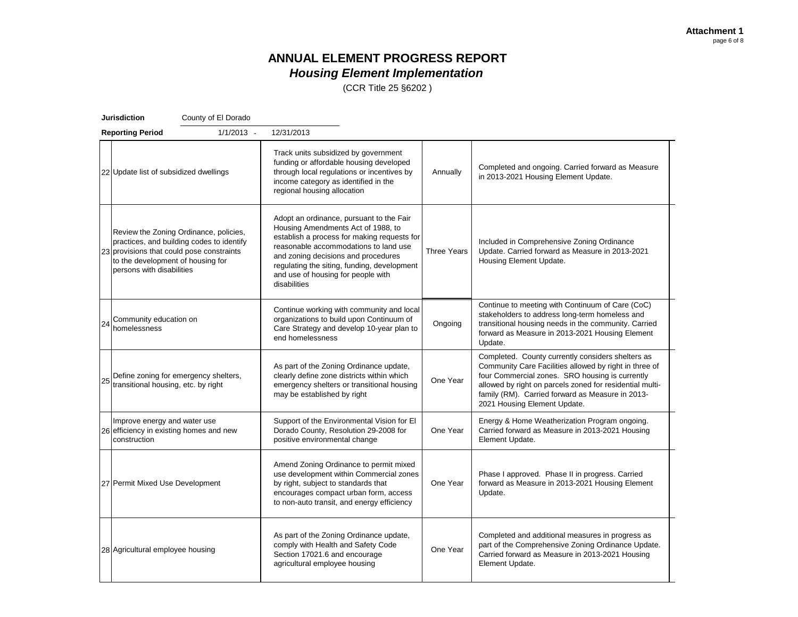(CCR Title 25 §6202 )

| <b>Jurisdiction</b> |                                                                                                             | County of El Dorado                                                                 |                                                                                                                                                                                                                                                                                                                    |                    |                                                                                                                                                                                                                                                                                                                |
|---------------------|-------------------------------------------------------------------------------------------------------------|-------------------------------------------------------------------------------------|--------------------------------------------------------------------------------------------------------------------------------------------------------------------------------------------------------------------------------------------------------------------------------------------------------------------|--------------------|----------------------------------------------------------------------------------------------------------------------------------------------------------------------------------------------------------------------------------------------------------------------------------------------------------------|
|                     | <b>Reporting Period</b>                                                                                     | $1/1/2013 -$                                                                        | 12/31/2013                                                                                                                                                                                                                                                                                                         |                    |                                                                                                                                                                                                                                                                                                                |
|                     | 22 Update list of subsidized dwellings                                                                      |                                                                                     | Track units subsidized by government<br>funding or affordable housing developed<br>through local regulations or incentives by<br>income category as identified in the<br>regional housing allocation                                                                                                               | Annually           | Completed and ongoing. Carried forward as Measure<br>in 2013-2021 Housing Element Update.                                                                                                                                                                                                                      |
|                     | 23 provisions that could pose constraints<br>to the development of housing for<br>persons with disabilities | Review the Zoning Ordinance, policies,<br>practices, and building codes to identify | Adopt an ordinance, pursuant to the Fair<br>Housing Amendments Act of 1988, to<br>establish a process for making requests for<br>reasonable accommodations to land use<br>and zoning decisions and procedures<br>regulating the siting, funding, development<br>and use of housing for people with<br>disabilities | <b>Three Years</b> | Included in Comprehensive Zoning Ordinance<br>Update. Carried forward as Measure in 2013-2021<br>Housing Element Update.                                                                                                                                                                                       |
| 24                  | Community education on<br>homelessness                                                                      |                                                                                     | Continue working with community and local<br>organizations to build upon Continuum of<br>Care Strategy and develop 10-year plan to<br>end homelessness                                                                                                                                                             | Ongoing            | Continue to meeting with Continuum of Care (CoC)<br>stakeholders to address long-term homeless and<br>transitional housing needs in the community. Carried<br>forward as Measure in 2013-2021 Housing Element<br>Update.                                                                                       |
| 25                  | Define zoning for emergency shelters,<br>transitional housing, etc. by right                                |                                                                                     | As part of the Zoning Ordinance update,<br>clearly define zone districts within which<br>emergency shelters or transitional housing<br>may be established by right                                                                                                                                                 | One Year           | Completed. County currently considers shelters as<br>Community Care Facilities allowed by right in three of<br>four Commercial zones. SRO housing is currently<br>allowed by right on parcels zoned for residential multi-<br>family (RM). Carried forward as Measure in 2013-<br>2021 Housing Element Update. |
|                     | Improve energy and water use<br>26 efficiency in existing homes and new<br>construction                     |                                                                                     | Support of the Environmental Vision for El<br>Dorado County, Resolution 29-2008 for<br>positive environmental change                                                                                                                                                                                               | One Year           | Energy & Home Weatherization Program ongoing.<br>Carried forward as Measure in 2013-2021 Housing<br>Element Update.                                                                                                                                                                                            |
|                     | 27 Permit Mixed Use Development                                                                             |                                                                                     | Amend Zoning Ordinance to permit mixed<br>use development within Commercial zones<br>by right, subject to standards that<br>encourages compact urban form, access<br>to non-auto transit, and energy efficiency                                                                                                    | One Year           | Phase I approved. Phase II in progress. Carried<br>forward as Measure in 2013-2021 Housing Element<br>Update.                                                                                                                                                                                                  |
|                     | 28 Agricultural employee housing                                                                            |                                                                                     | As part of the Zoning Ordinance update,<br>comply with Health and Safety Code<br>Section 17021.6 and encourage<br>agricultural employee housing                                                                                                                                                                    | One Year           | Completed and additional measures in progress as<br>part of the Comprehensive Zoning Ordinance Update.<br>Carried forward as Measure in 2013-2021 Housing<br>Element Update.                                                                                                                                   |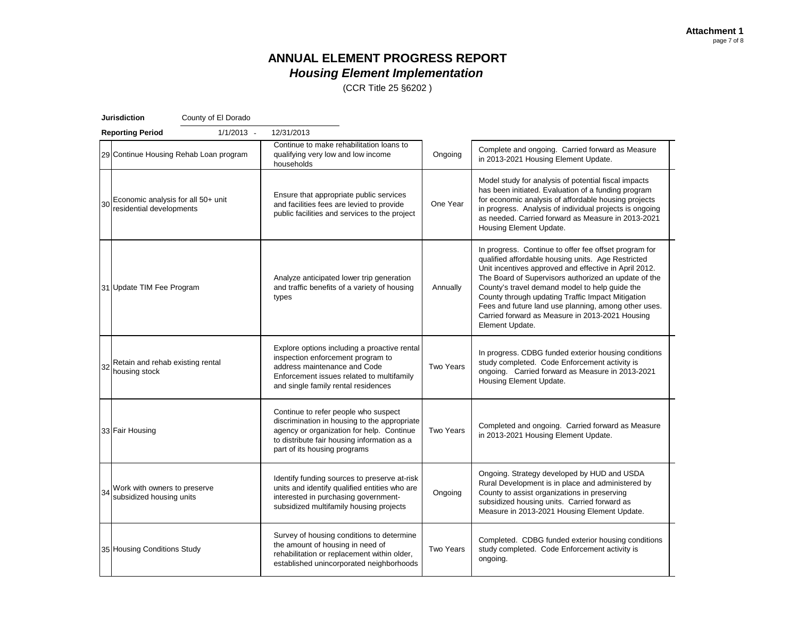(CCR Title 25 §6202 )

| <b>Jurisdiction</b> |                                                                | County of El Dorado                    |                                                                                                                                                                                                                  |           |                                                                                                                                                                                                                                                                                                                                                                                                                                                                   |
|---------------------|----------------------------------------------------------------|----------------------------------------|------------------------------------------------------------------------------------------------------------------------------------------------------------------------------------------------------------------|-----------|-------------------------------------------------------------------------------------------------------------------------------------------------------------------------------------------------------------------------------------------------------------------------------------------------------------------------------------------------------------------------------------------------------------------------------------------------------------------|
|                     | <b>Reporting Period</b>                                        | $1/1/2013 -$                           | 12/31/2013                                                                                                                                                                                                       |           |                                                                                                                                                                                                                                                                                                                                                                                                                                                                   |
|                     |                                                                | 29 Continue Housing Rehab Loan program | Continue to make rehabilitation loans to<br>qualifying very low and low income<br>households                                                                                                                     | Ongoing   | Complete and ongoing. Carried forward as Measure<br>in 2013-2021 Housing Element Update.                                                                                                                                                                                                                                                                                                                                                                          |
| 30                  | Economic analysis for all 50+ unit<br>residential developments |                                        | Ensure that appropriate public services<br>and facilities fees are levied to provide<br>public facilities and services to the project                                                                            | One Year  | Model study for analysis of potential fiscal impacts<br>has been initiated. Evaluation of a funding program<br>for economic analysis of affordable housing projects<br>in progress. Analysis of individual projects is ongoing<br>as needed. Carried forward as Measure in 2013-2021<br>Housing Element Update.                                                                                                                                                   |
|                     | 31 Update TIM Fee Program                                      |                                        | Analyze anticipated lower trip generation<br>and traffic benefits of a variety of housing<br>types                                                                                                               | Annually  | In progress. Continue to offer fee offset program for<br>qualified affordable housing units. Age Restricted<br>Unit incentives approved and effective in April 2012.<br>The Board of Supervisors authorized an update of the<br>County's travel demand model to help guide the<br>County through updating Traffic Impact Mitigation<br>Fees and future land use planning, among other uses.<br>Carried forward as Measure in 2013-2021 Housing<br>Element Update. |
| 32                  | Retain and rehab existing rental<br>housing stock              |                                        | Explore options including a proactive rental<br>inspection enforcement program to<br>address maintenance and Code<br>Enforcement issues related to multifamily<br>and single family rental residences            | Two Years | In progress. CDBG funded exterior housing conditions<br>study completed. Code Enforcement activity is<br>ongoing. Carried forward as Measure in 2013-2021<br>Housing Element Update.                                                                                                                                                                                                                                                                              |
|                     | 33 Fair Housing                                                |                                        | Continue to refer people who suspect<br>discrimination in housing to the appropriate<br>agency or organization for help. Continue<br>to distribute fair housing information as a<br>part of its housing programs | Two Years | Completed and ongoing. Carried forward as Measure<br>in 2013-2021 Housing Element Update.                                                                                                                                                                                                                                                                                                                                                                         |
| 34                  | Work with owners to preserve<br>subsidized housing units       |                                        | Identify funding sources to preserve at-risk<br>units and identify qualified entities who are<br>interested in purchasing government-<br>subsidized multifamily housing projects                                 | Ongoing   | Ongoing. Strategy developed by HUD and USDA<br>Rural Development is in place and administered by<br>County to assist organizations in preserving<br>subsidized housing units. Carried forward as<br>Measure in 2013-2021 Housing Element Update.                                                                                                                                                                                                                  |
|                     | 35 Housing Conditions Study                                    |                                        | Survey of housing conditions to determine<br>the amount of housing in need of<br>rehabilitation or replacement within older,<br>established unincorporated neighborhoods                                         | Two Years | Completed. CDBG funded exterior housing conditions<br>study completed. Code Enforcement activity is<br>ongoing.                                                                                                                                                                                                                                                                                                                                                   |